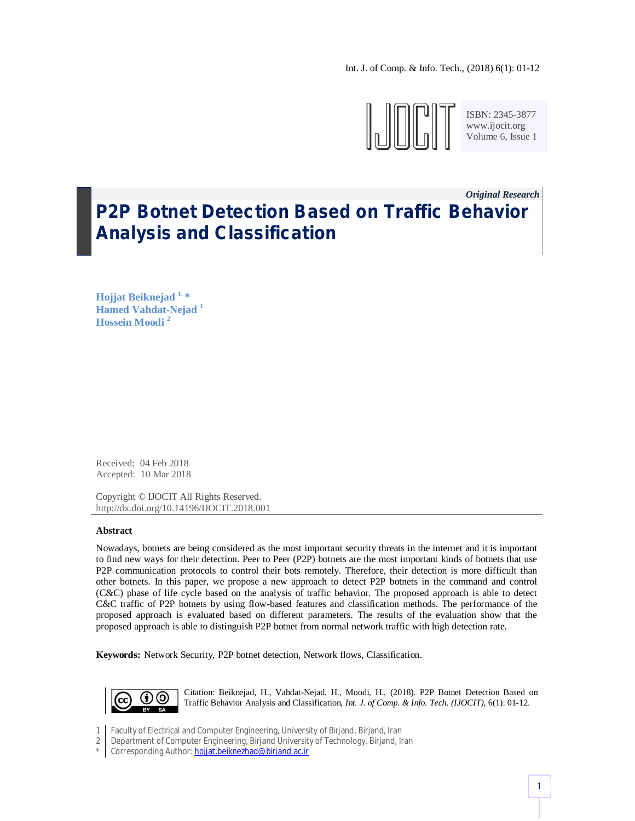Int. J. of Comp. & Info. Tech., (2018) 6(1): 01-12



ISBN: 2345-3877 www.ijocit.org Volume 6, Issue 1

1

# *Original Research\_* **P2P Botnet Detection Based on Traffic Behavior Analysis and Classification**

**Hojjat Beiknejad 1, \* Hamed Vahdat-Nejad <sup>1</sup> Hossein Moodi <sup>2</sup>**

Received: 04 Feb 2018 Accepted: 10 Mar 2018

Copyright © IJOCIT All Rights Reserved. http://dx.doi.org/10.14196/IJOCIT.2018.001

## **Abstract**

Nowadays, botnets are being considered as the most important security threats in the internet and it is important to find new ways for their detection. Peer to Peer (P2P) botnets are the most important kinds of botnets that use P2P communication protocols to control their bots remotely. Therefore, their detection is more difficult than other botnets. In this paper, we propose a new approach to detect P2P botnets in the command and control (C&C) phase of life cycle based on the analysis of traffic behavior. The proposed approach is able to detect C&C traffic of P2P botnets by using flow-based features and classification methods. The performance of the proposed approach is evaluated based on different parameters. The results of the evaluation show that the proposed approach is able to distinguish P2P botnet from normal network traffic with high detection rate.

**Keywords:** Network Security, P2P botnet detection, Network flows, Classification.



Citation: Beiknejad, H., Vahdat-Nejad, H., Moodi, H., (2018). P2P Botnet Detection Based on Traffic Behavior Analysis and Classification, *Int. J. of Comp. & Info. Tech. (IJOCIT)*, 6(1): 01-12.

1 Faculty of Electrical and Computer Engineering, University of Birjand, Birjand, Iran

2 Department of Computer Engineering, Birjand University of Technology, Birjand, Iran

\* Corresponding Author: hojjat.beiknezhad@birjand.ac.ir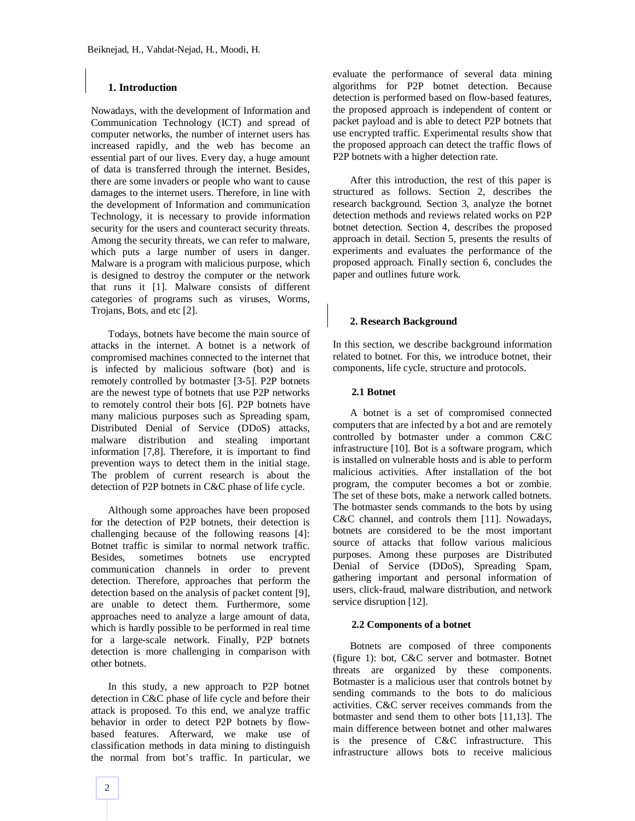## **1. Introduction**

Nowadays, with the development of Information and Communication Technology (ICT) and spread of computer networks, the number of internet users has increased rapidly, and the web has become an essential part of our lives. Every day, a huge amount of data is transferred through the internet. Besides, there are some invaders or people who want to cause damages to the internet users. Therefore, in line with the development of Information and communication Technology, it is necessary to provide information security for the users and counteract security threats. Among the security threats, we can refer to malware, which puts a large number of users in danger. Malware is a program with malicious purpose, which is designed to destroy the computer or the network that runs it [1]. Malware consists of different categories of programs such as viruses, Worms, Trojans, Bots, and etc [2].

Todays, botnets have become the main source of attacks in the internet. A botnet is a network of compromised machines connected to the internet that is infected by malicious software (bot) and is remotely controlled by botmaster [3-5]. P2P botnets are the newest type of botnets that use P2P networks to remotely control their bots [6]. P2P botnets have many malicious purposes such as Spreading spam, Distributed Denial of Service (DDoS) attacks, malware distribution and stealing important information [7,8]. Therefore, it is important to find prevention ways to detect them in the initial stage. The problem of current research is about the detection of P2P botnets in C&C phase of life cycle.

Although some approaches have been proposed for the detection of P2P botnets, their detection is challenging because of the following reasons [4]: Botnet traffic is similar to normal network traffic. Besides, sometimes botnets use encrypted communication channels in order to prevent detection. Therefore, approaches that perform the detection based on the analysis of packet content [9], are unable to detect them. Furthermore, some approaches need to analyze a large amount of data, which is hardly possible to be performed in real time for a large-scale network. Finally, P2P botnets detection is more challenging in comparison with other botnets.

In this study, a new approach to P2P botnet detection in C&C phase of life cycle and before their attack is proposed. To this end, we analyze traffic behavior in order to detect P2P botnets by flowbased features. Afterward, we make use of classification methods in data mining to distinguish the normal from bot's traffic. In particular, we evaluate the performance of several data mining algorithms for P2P botnet detection. Because detection is performed based on flow-based features, the proposed approach is independent of content or packet payload and is able to detect P2P botnets that use encrypted traffic. Experimental results show that the proposed approach can detect the traffic flows of P2P botnets with a higher detection rate.

After this introduction, the rest of this paper is structured as follows. Section 2, describes the research background. Section 3, analyze the botnet detection methods and reviews related works on P2P botnet detection. Section 4, describes the proposed approach in detail. Section 5, presents the results of experiments and evaluates the performance of the proposed approach. Finally section 6, concludes the paper and outlines future work.

## **2. Research Background**

In this section, we describe background information related to botnet. For this, we introduce botnet, their components, life cycle, structure and protocols.

## **2.1 Botnet**

A botnet is a set of compromised connected computers that are infected by a bot and are remotely controlled by botmaster under a common C&C infrastructure [10]. Bot is a software program, which is installed on vulnerable hosts and is able to perform malicious activities. After installation of the bot program, the computer becomes a bot or zombie. The set of these bots, make a network called botnets. The botmaster sends commands to the bots by using C&C channel, and controls them [11]. Nowadays, botnets are considered to be the most important source of attacks that follow various malicious purposes. Among these purposes are Distributed Denial of Service (DDoS), Spreading Spam, gathering important and personal information of users, click-fraud, malware distribution, and network service disruption [12].

#### **2.2 Components of a botnet**

Botnets are composed of three components (figure 1): bot, C&C server and botmaster. Botnet threats are organized by these components. Botmaster is a malicious user that controls botnet by sending commands to the bots to do malicious activities. C&C server receives commands from the botmaster and send them to other bots [11,13]. The main difference between botnet and other malwares is the presence of C&C infrastructure. This infrastructure allows bots to receive malicious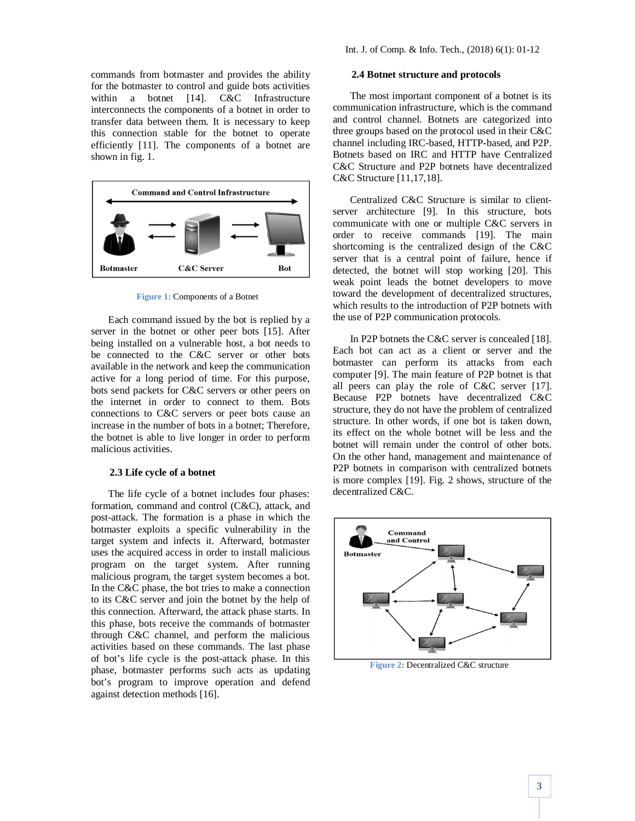commands from botmaster and provides the ability for the botmaster to control and guide bots activities within a botnet [14]. C&C Infrastructure interconnects the components of a botnet in order to transfer data between them. It is necessary to keep this connection stable for the botnet to operate efficiently [11]. The components of a botnet are shown in fig. 1.



**Figure 1:** Components of a Botnet

Each command issued by the bot is replied by a server in the botnet or other peer bots [15]. After being installed on a vulnerable host, a bot needs to be connected to the C&C server or other bots available in the network and keep the communication active for a long period of time. For this purpose, bots send packets for C&C servers or other peers on the internet in order to connect to them. Bots connections to C&C servers or peer bots cause an increase in the number of bots in a botnet; Therefore, the botnet is able to live longer in order to perform malicious activities.

### **2.3 Life cycle of a botnet**

The life cycle of a botnet includes four phases: formation, command and control (C&C), attack, and post-attack. The formation is a phase in which the botmaster exploits a specific vulnerability in the target system and infects it. Afterward, botmaster uses the acquired access in order to install malicious program on the target system. After running malicious program, the target system becomes a bot. In the C&C phase, the bot tries to make a connection to its C&C server and join the botnet by the help of this connection. Afterward, the attack phase starts. In this phase, bots receive the commands of botmaster through C&C channel, and perform the malicious activities based on these commands. The last phase of bot's life cycle is the post-attack phase. In this phase, botmaster performs such acts as updating bot's program to improve operation and defend against detection methods [16].

# **2.4 Botnet structure and protocols**

The most important component of a botnet is its communication infrastructure, which is the command and control channel. Botnets are categorized into three groups based on the protocol used in their C&C channel including IRC-based, HTTP-based, and P2P. Botnets based on IRC and HTTP have Centralized C&C Structure and P2P botnets have decentralized C&C Structure [11,17,18].

Centralized C&C Structure is similar to clientserver architecture [9]. In this structure, bots communicate with one or multiple C&C servers in order to receive commands [19]. The main shortcoming is the centralized design of the C&C server that is a central point of failure, hence if detected, the botnet will stop working [20]. This weak point leads the botnet developers to move toward the development of decentralized structures, which results to the introduction of P2P botnets with the use of P2P communication protocols.

In P2P botnets the C&C server is concealed [18]. Each bot can act as a client or server and the botmaster can perform its attacks from each computer [9]. The main feature of P2P botnet is that all peers can play the role of C&C server [17]. Because P2P botnets have decentralized C&C structure, they do not have the problem of centralized structure. In other words, if one bot is taken down, its effect on the whole botnet will be less and the botnet will remain under the control of other bots. On the other hand, management and maintenance of P2P botnets in comparison with centralized botnets is more complex [19]. Fig. 2 shows, structure of the decentralized C&C.



**Figure 2:** Decentralized C&C structure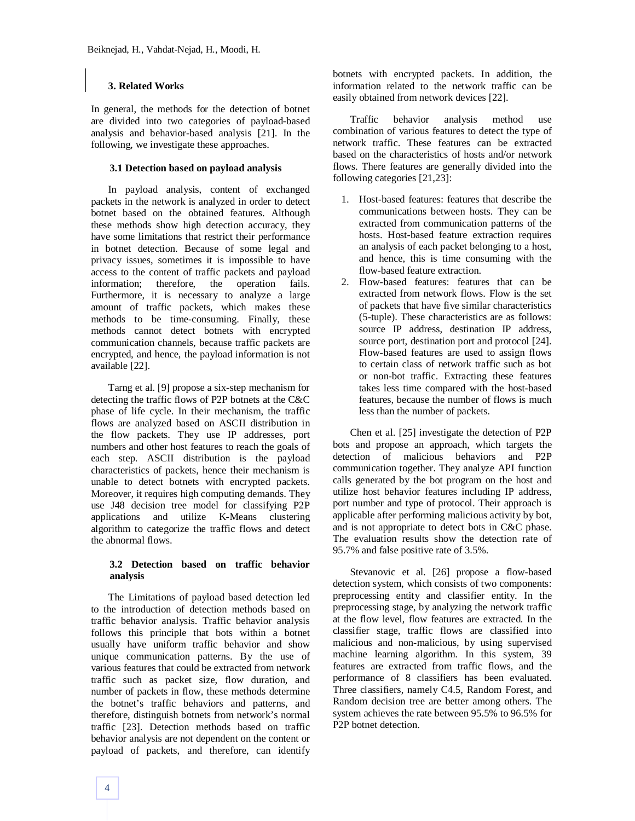# **3. Related Works**

In general, the methods for the detection of botnet are divided into two categories of payload-based analysis and behavior-based analysis [21]. In the following, we investigate these approaches.

### **3.1 Detection based on payload analysis**

In payload analysis, content of exchanged packets in the network is analyzed in order to detect botnet based on the obtained features. Although these methods show high detection accuracy, they have some limitations that restrict their performance in botnet detection. Because of some legal and privacy issues, sometimes it is impossible to have access to the content of traffic packets and payload information; therefore, the operation fails. Furthermore, it is necessary to analyze a large amount of traffic packets, which makes these methods to be time-consuming. Finally, these methods cannot detect botnets with encrypted communication channels, because traffic packets are encrypted, and hence, the payload information is not available [22].

Tarng et al. [9] propose a six-step mechanism for detecting the traffic flows of P2P botnets at the C&C phase of life cycle. In their mechanism, the traffic flows are analyzed based on ASCII distribution in the flow packets. They use IP addresses, port numbers and other host features to reach the goals of each step. ASCII distribution is the payload characteristics of packets, hence their mechanism is unable to detect botnets with encrypted packets. Moreover, it requires high computing demands. They use J48 decision tree model for classifying P2P applications and utilize K-Means clustering algorithm to categorize the traffic flows and detect the abnormal flows.

## **3.2 Detection based on traffic behavior analysis**

The Limitations of payload based detection led to the introduction of detection methods based on traffic behavior analysis. Traffic behavior analysis follows this principle that bots within a botnet usually have uniform traffic behavior and show unique communication patterns. By the use of various features that could be extracted from network traffic such as packet size, flow duration, and number of packets in flow, these methods determine the botnet's traffic behaviors and patterns, and therefore, distinguish botnets from network's normal traffic [23]. Detection methods based on traffic behavior analysis are not dependent on the content or payload of packets, and therefore, can identify botnets with encrypted packets. In addition, the information related to the network traffic can be easily obtained from network devices [22].

Traffic behavior analysis method use combination of various features to detect the type of network traffic. These features can be extracted based on the characteristics of hosts and/or network flows. There features are generally divided into the following categories [21,23]:

- 1. Host-based features: features that describe the communications between hosts. They can be extracted from communication patterns of the hosts. Host-based feature extraction requires an analysis of each packet belonging to a host, and hence, this is time consuming with the flow-based feature extraction.
- 2. Flow-based features: features that can be extracted from network flows. Flow is the set of packets that have five similar characteristics (5-tuple). These characteristics are as follows: source IP address, destination IP address, source port, destination port and protocol [24]. Flow-based features are used to assign flows to certain class of network traffic such as bot or non-bot traffic. Extracting these features takes less time compared with the host-based features, because the number of flows is much less than the number of packets.

Chen et al. [25] investigate the detection of P2P bots and propose an approach, which targets the detection of malicious behaviors and P2P communication together. They analyze API function calls generated by the bot program on the host and utilize host behavior features including IP address, port number and type of protocol. Their approach is applicable after performing malicious activity by bot, and is not appropriate to detect bots in C&C phase. The evaluation results show the detection rate of 95.7% and false positive rate of 3.5%.

Stevanovic et al. [26] propose a flow-based detection system, which consists of two components: preprocessing entity and classifier entity. In the preprocessing stage, by analyzing the network traffic at the flow level, flow features are extracted. In the classifier stage, traffic flows are classified into malicious and non-malicious, by using supervised machine learning algorithm. In this system, 39 features are extracted from traffic flows, and the performance of 8 classifiers has been evaluated. Three classifiers, namely C4.5, Random Forest, and Random decision tree are better among others. The system achieves the rate between 95.5% to 96.5% for P2P botnet detection.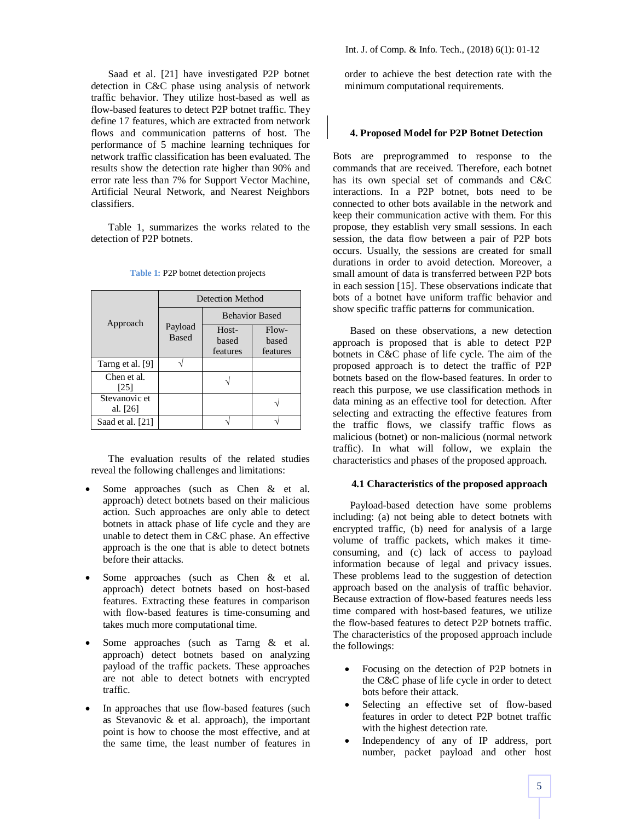Saad et al. [21] have investigated P2P botnet detection in C&C phase using analysis of network traffic behavior. They utilize host-based as well as flow-based features to detect P2P botnet traffic. They define 17 features, which are extracted from network flows and communication patterns of host. The performance of 5 machine learning techniques for network traffic classification has been evaluated. The results show the detection rate higher than 90% and error rate less than 7% for Support Vector Machine, Artificial Neural Network, and Nearest Neighbors classifiers.

Table 1, summarizes the works related to the detection of P2P botnets.

|                           | Detection Method        |                            |                              |
|---------------------------|-------------------------|----------------------------|------------------------------|
|                           |                         | <b>Behavior Based</b>      |                              |
| Approach                  | Payload<br><b>Based</b> | Host-<br>based<br>features | $Flow-$<br>based<br>features |
| Tarng et al. [9]          |                         |                            |                              |
| Chen et al.<br>[25]       |                         |                            |                              |
| Stevanovic et<br>al. [26] |                         |                            |                              |
| Saad et al. [21]          |                         |                            |                              |

**Table 1:** P2P botnet detection projects

The evaluation results of the related studies reveal the following challenges and limitations:

- Some approaches (such as Chen & et al. approach) detect botnets based on their malicious action. Such approaches are only able to detect botnets in attack phase of life cycle and they are unable to detect them in C&C phase. An effective approach is the one that is able to detect botnets before their attacks.
- Some approaches (such as Chen & et al. approach) detect botnets based on host-based features. Extracting these features in comparison with flow-based features is time-consuming and takes much more computational time.
- Some approaches (such as Tarng & et al. approach) detect botnets based on analyzing payload of the traffic packets. These approaches are not able to detect botnets with encrypted traffic.
- In approaches that use flow-based features (such as Stevanovic & et al. approach), the important point is how to choose the most effective, and at the same time, the least number of features in

order to achieve the best detection rate with the minimum computational requirements.

#### **4. Proposed Model for P2P Botnet Detection**

Bots are preprogrammed to response to the commands that are received. Therefore, each botnet has its own special set of commands and C&C interactions. In a P2P botnet, bots need to be connected to other bots available in the network and keep their communication active with them. For this propose, they establish very small sessions. In each session, the data flow between a pair of P2P bots occurs. Usually, the sessions are created for small durations in order to avoid detection. Moreover, a small amount of data is transferred between P2P bots in each session [15]. These observations indicate that bots of a botnet have uniform traffic behavior and show specific traffic patterns for communication.

Based on these observations, a new detection approach is proposed that is able to detect P2P botnets in C&C phase of life cycle. The aim of the proposed approach is to detect the traffic of P2P botnets based on the flow-based features. In order to reach this purpose, we use classification methods in data mining as an effective tool for detection. After selecting and extracting the effective features from the traffic flows, we classify traffic flows as malicious (botnet) or non-malicious (normal network traffic). In what will follow, we explain the characteristics and phases of the proposed approach.

### **4.1 Characteristics of the proposed approach**

Payload-based detection have some problems including: (a) not being able to detect botnets with encrypted traffic, (b) need for analysis of a large volume of traffic packets, which makes it timeconsuming, and (c) lack of access to payload information because of legal and privacy issues. These problems lead to the suggestion of detection approach based on the analysis of traffic behavior. Because extraction of flow-based features needs less time compared with host-based features, we utilize the flow-based features to detect P2P botnets traffic. The characteristics of the proposed approach include the followings:

- Focusing on the detection of P2P botnets in the C&C phase of life cycle in order to detect bots before their attack.
- Selecting an effective set of flow-based features in order to detect P2P botnet traffic with the highest detection rate.
- Independency of any of IP address, port number, packet payload and other host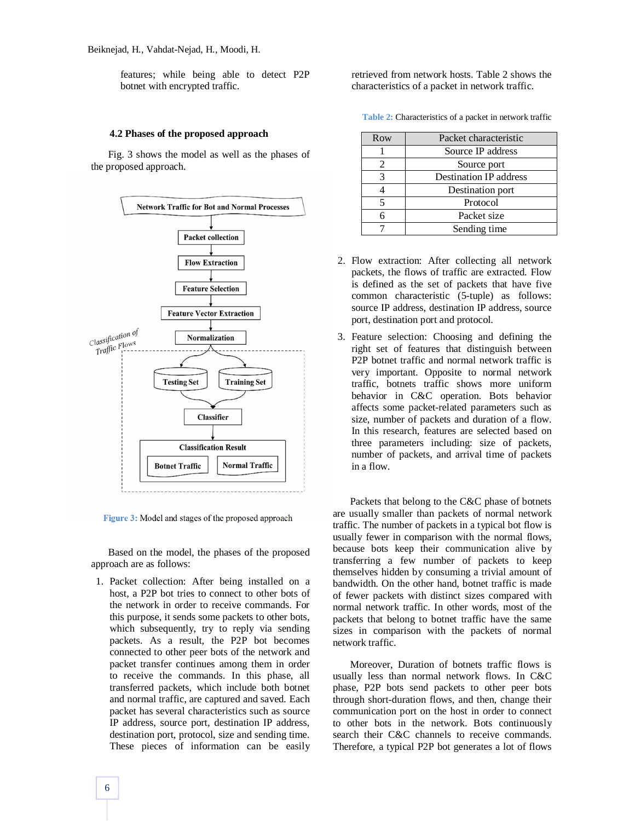features; while being able to detect P2P botnet with encrypted traffic.

#### **4.2 Phases of the proposed approach**

Fig. 3 shows the model as well as the phases of the proposed approach.



**Figure 3:** Model and stages of the proposed approach

Based on the model, the phases of the proposed approach are as follows:

1. Packet collection: After being installed on a host, a P2P bot tries to connect to other bots of the network in order to receive commands. For this purpose, it sends some packets to other bots, which subsequently, try to reply via sending packets. As a result, the P2P bot becomes connected to other peer bots of the network and packet transfer continues among them in order to receive the commands. In this phase, all transferred packets, which include both botnet and normal traffic, are captured and saved. Each packet has several characteristics such as source IP address, source port, destination IP address, destination port, protocol, size and sending time. These pieces of information can be easily retrieved from network hosts. Table 2 shows the characteristics of a packet in network traffic.

**Table 2:** Characteristics of a packet in network traffic

| Row | Packet characteristic         |
|-----|-------------------------------|
|     | Source IP address             |
| 2   | Source port                   |
| 3   | <b>Destination IP address</b> |
|     | Destination port              |
| 5   | Protocol                      |
| 6   | Packet size                   |
|     | Sending time                  |

- 2. Flow extraction: After collecting all network packets, the flows of traffic are extracted. Flow is defined as the set of packets that have five common characteristic (5-tuple) as follows: source IP address, destination IP address, source port, destination port and protocol.
- 3. Feature selection: Choosing and defining the right set of features that distinguish between P2P botnet traffic and normal network traffic is very important. Opposite to normal network traffic, botnets traffic shows more uniform behavior in C&C operation. Bots behavior affects some packet-related parameters such as size, number of packets and duration of a flow. In this research, features are selected based on three parameters including: size of packets, number of packets, and arrival time of packets in a flow.

Packets that belong to the C&C phase of botnets are usually smaller than packets of normal network traffic. The number of packets in a typical bot flow is usually fewer in comparison with the normal flows, because bots keep their communication alive by transferring a few number of packets to keep themselves hidden by consuming a trivial amount of bandwidth. On the other hand, botnet traffic is made of fewer packets with distinct sizes compared with normal network traffic. In other words, most of the packets that belong to botnet traffic have the same sizes in comparison with the packets of normal network traffic.

Moreover, Duration of botnets traffic flows is usually less than normal network flows. In C&C phase, P2P bots send packets to other peer bots through short-duration flows, and then, change their communication port on the host in order to connect to other bots in the network. Bots continuously search their C&C channels to receive commands. Therefore, a typical P2P bot generates a lot of flows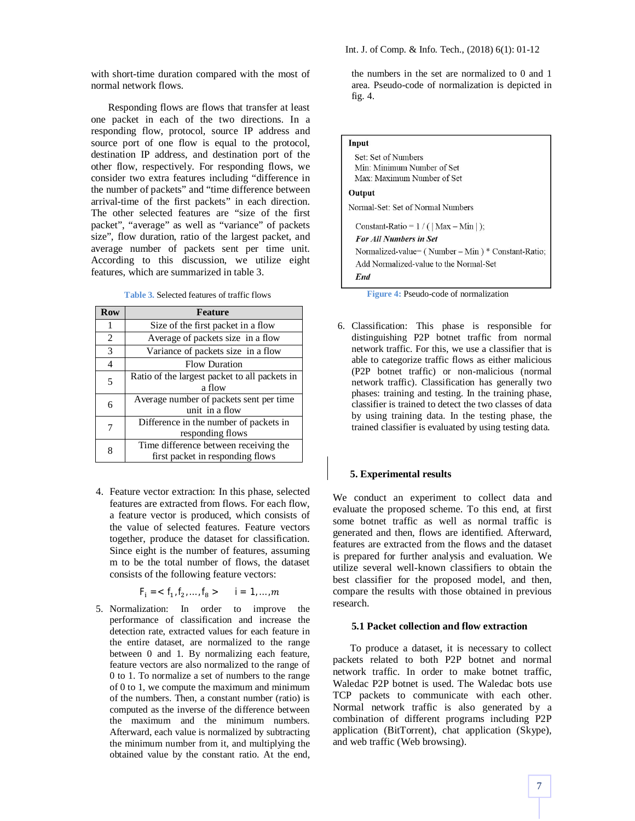with short-time duration compared with the most of normal network flows.

Responding flows are flows that transfer at least one packet in each of the two directions. In a responding flow, protocol, source IP address and source port of one flow is equal to the protocol, destination IP address, and destination port of the other flow, respectively. For responding flows, we consider two extra features including "difference in the number of packets" and "time difference between arrival-time of the first packets" in each direction. The other selected features are "size of the first packet", "average" as well as "variance" of packets size", flow duration, ratio of the largest packet, and average number of packets sent per time unit. According to this discussion, we utilize eight features, which are summarized in table 3.

**Table 3.** Selected features of traffic flows

| <b>Row</b>                                         | <b>Feature</b>                          |
|----------------------------------------------------|-----------------------------------------|
| 1                                                  | Size of the first packet in a flow      |
| $\overline{2}$                                     | Average of packets size in a flow       |
| 3                                                  | Variance of packets size in a flow      |
| 4                                                  | <b>Flow Duration</b>                    |
| Ratio of the largest packet to all packets in<br>5 |                                         |
|                                                    | a flow                                  |
| 6                                                  | Average number of packets sent per time |
|                                                    | unit in a flow                          |
| 7                                                  | Difference in the number of packets in  |
|                                                    | responding flows                        |
| 8                                                  | Time difference between receiving the   |
|                                                    | first packet in responding flows        |

4. Feature vector extraction: In this phase, selected features are extracted from flows. For each flow, a feature vector is produced, which consists of the value of selected features. Feature vectors together, produce the dataset for classification. Since eight is the number of features, assuming m to be the total number of flows, the dataset consists of the following feature vectors:

 $F_i = \langle f_1, f_2, \dots, f_8 \rangle$  i = 1, ..., m

5. Normalization: In order to improve the performance of classification and increase the detection rate, extracted values for each feature in the entire dataset, are normalized to the range between 0 and 1. By normalizing each feature, feature vectors are also normalized to the range of 0 to 1. To normalize a set of numbers to the range of 0 to 1, we compute the maximum and minimum of the numbers. Then, a constant number (ratio) is computed as the inverse of the difference between the maximum and the minimum numbers. Afterward, each value is normalized by subtracting the minimum number from it, and multiplying the obtained value by the constant ratio. At the end,

the numbers in the set are normalized to 0 and 1 area. Pseudo-code of normalization is depicted in fig. 4.

| Input                                                    |
|----------------------------------------------------------|
| Set: Set of Numbers                                      |
| Min: Minimum Number of Set                               |
| Max: Maximum Number of Set                               |
| Output                                                   |
| Normal-Set: Set of Normal Numbers                        |
| Constant-Ratio = $1/$ (   Max – Min   );                 |
| <b>For All Numbers in Set</b>                            |
| Normalized-value= $($ Number – Min $)$ * Constant-Ratio; |
| Add Normalized-value to the Normal-Set                   |
| End                                                      |

**Figure 4:** Pseudo-code of normalization

6. Classification: This phase is responsible for distinguishing P2P botnet traffic from normal network traffic. For this, we use a classifier that is able to categorize traffic flows as either malicious (P2P botnet traffic) or non-malicious (normal network traffic). Classification has generally two phases: training and testing. In the training phase, classifier is trained to detect the two classes of data by using training data. In the testing phase, the trained classifier is evaluated by using testing data.

### **5. Experimental results**

We conduct an experiment to collect data and evaluate the proposed scheme. To this end, at first some botnet traffic as well as normal traffic is generated and then, flows are identified. Afterward, features are extracted from the flows and the dataset is prepared for further analysis and evaluation. We utilize several well-known classifiers to obtain the best classifier for the proposed model, and then, compare the results with those obtained in previous research.

### **5.1 Packet collection and flow extraction**

To produce a dataset, it is necessary to collect packets related to both P2P botnet and normal network traffic. In order to make botnet traffic, Waledac P2P botnet is used. The Waledac bots use TCP packets to communicate with each other. Normal network traffic is also generated by a combination of different programs including P2P application (BitTorrent), chat application (Skype), and web traffic (Web browsing).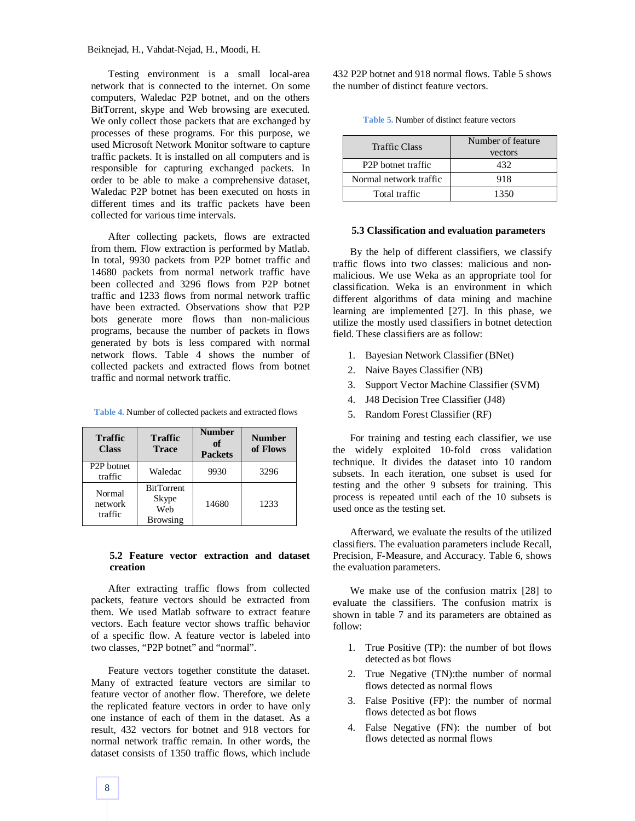Testing environment is a small local-area network that is connected to the internet. On some computers, Waledac P2P botnet, and on the others BitTorrent, skype and Web browsing are executed. We only collect those packets that are exchanged by processes of these programs. For this purpose, we used Microsoft Network Monitor software to capture traffic packets. It is installed on all computers and is responsible for capturing exchanged packets. In order to be able to make a comprehensive dataset, Waledac P2P botnet has been executed on hosts in different times and its traffic packets have been collected for various time intervals.

After collecting packets, flows are extracted from them. Flow extraction is performed by Matlab. In total, 9930 packets from P2P botnet traffic and 14680 packets from normal network traffic have been collected and 3296 flows from P2P botnet traffic and 1233 flows from normal network traffic have been extracted. Observations show that P2P bots generate more flows than non-malicious programs, because the number of packets in flows generated by bots is less compared with normal network flows. Table 4 shows the number of collected packets and extracted flows from botnet traffic and normal network traffic.

| Table 4. Number of collected packets and extracted flows |  |
|----------------------------------------------------------|--|
|----------------------------------------------------------|--|

| <b>Traffic</b><br><b>Class</b>     | <b>Traffic</b><br><b>Trace</b>                       | <b>Number</b><br>of<br><b>Packets</b> | <b>Number</b><br>of Flows |
|------------------------------------|------------------------------------------------------|---------------------------------------|---------------------------|
| P <sub>2</sub> P botnet<br>traffic | Waledac                                              | 9930                                  | 3296                      |
| Normal<br>network<br>traffic       | <b>BitTorrent</b><br>Skype<br>Web<br><b>Browsing</b> | 14680                                 | 1233                      |

#### **5.2 Feature vector extraction and dataset creation**

After extracting traffic flows from collected packets, feature vectors should be extracted from them. We used Matlab software to extract feature vectors. Each feature vector shows traffic behavior of a specific flow. A feature vector is labeled into two classes, "P2P botnet" and "normal".

Feature vectors together constitute the dataset. Many of extracted feature vectors are similar to feature vector of another flow. Therefore, we delete the replicated feature vectors in order to have only one instance of each of them in the dataset. As a result, 432 vectors for botnet and 918 vectors for normal network traffic remain. In other words, the dataset consists of 1350 traffic flows, which include 432 P2P botnet and 918 normal flows. Table 5 shows the number of distinct feature vectors.

**Table 5.** Number of distinct feature vectors

| $T_{\text{tot}}f\mathcal{L} \circ T_{\text{max}}$ | Number of feature |
|---------------------------------------------------|-------------------|

| <b>Traffic Class</b>            | Number of feature |  |
|---------------------------------|-------------------|--|
|                                 | vectors           |  |
| P <sub>2</sub> P botnet traffic | 432               |  |
| Normal network traffic          | 918               |  |
| Total traffic                   | 1350              |  |

#### **5.3 Classification and evaluation parameters**

By the help of different classifiers, we classify traffic flows into two classes: malicious and nonmalicious. We use Weka as an appropriate tool for classification. Weka is an environment in which different algorithms of data mining and machine learning are implemented [27]. In this phase, we utilize the mostly used classifiers in botnet detection field. These classifiers are as follow:

- 1. Bayesian Network Classifier (BNet)
- 2. Naive Bayes Classifier (NB)
- 3. Support Vector Machine Classifier (SVM)
- 4. J48 Decision Tree Classifier (J48)
- 5. Random Forest Classifier (RF)

For training and testing each classifier, we use the widely exploited 10-fold cross validation technique. It divides the dataset into 10 random subsets. In each iteration, one subset is used for testing and the other 9 subsets for training. This process is repeated until each of the 10 subsets is used once as the testing set.

Afterward, we evaluate the results of the utilized classifiers. The evaluation parameters include Recall, Precision, F-Measure, and Accuracy. Table 6, shows the evaluation parameters.

We make use of the confusion matrix [28] to evaluate the classifiers. The confusion matrix is shown in table 7 and its parameters are obtained as follow:

- 1. True Positive (TP): the number of bot flows detected as bot flows
- 2. True Negative (TN):the number of normal flows detected as normal flows
- 3. False Positive (FP): the number of normal flows detected as bot flows
- 4. False Negative (FN): the number of bot flows detected as normal flows

8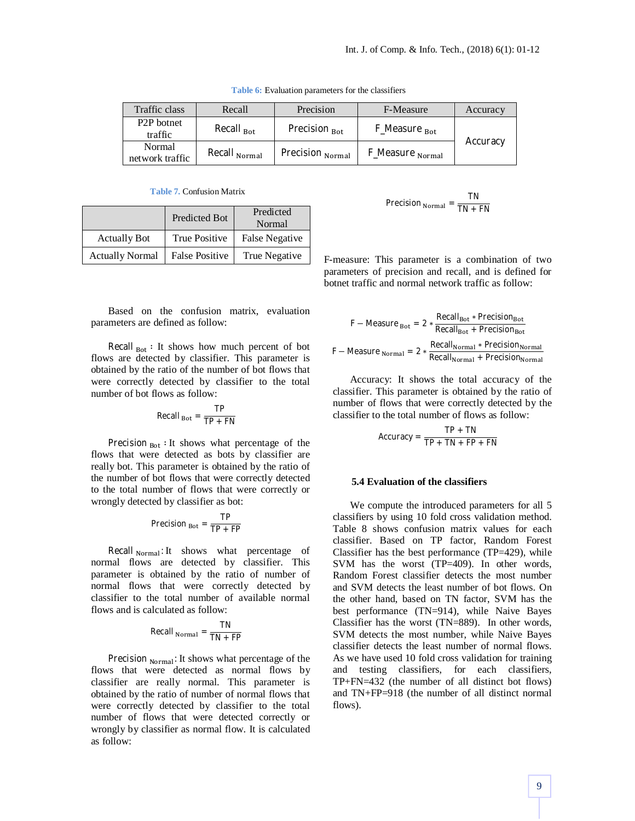| Traffic class                      | Recall                   | Precision                | F-Measure                   | Accuracy |
|------------------------------------|--------------------------|--------------------------|-----------------------------|----------|
| P <sub>2</sub> P botnet<br>traffic | Recall $_{\text{Bot}}$   | Precision <sub>Bot</sub> | F_Measure <sub>Bot</sub>    |          |
| Normal<br>network traffic          | Recall <sub>Normal</sub> | Precision Normal         | F_Measure <sub>Normal</sub> | Accuracy |

**Table 6:** Evaluation parameters for the classifiers

**Table 7.** Confusion Matrix

|                        | Predicted Bot         | Predicted<br>Normal |
|------------------------|-----------------------|---------------------|
| <b>Actually Bot</b>    | True Positive         | False Negative      |
| <b>Actually Normal</b> | <b>False Positive</b> | True Negative       |

$$
Precision_{Normal} = \frac{1}{TN + FN}
$$

TN

F-measure: This parameter is a combination of two parameters of precision and recall, and is defined for botnet traffic and normal network traffic as follow:

Based on the confusion matrix, evaluation parameters are defined as follow:

Recall  $_{\text{Bot}}$ : It shows how much percent of bot flows are detected by classifier. This parameter is obtained by the ratio of the number of bot flows that were correctly detected by classifier to the total number of bot flows as follow:

$$
Recall_{Bot} = \frac{TP}{TP + FN}
$$

Precision  $_{\text{Bot}}$ : It shows what percentage of the flows that were detected as bots by classifier are really bot. This parameter is obtained by the ratio of the number of bot flows that were correctly detected to the total number of flows that were correctly or wrongly detected by classifier as bot:

$$
Precision_{Bot} = \frac{TP}{TP + FP}
$$

Recall  $_{Normal}$ : It shows what percentage of normal flows are detected by classifier. This parameter is obtained by the ratio of number of normal flows that were correctly detected by classifier to the total number of available normal flows and is calculated as follow:

$$
Recall_{Normal} = \frac{TN}{TN + FP}
$$

Precision  $_{Normal}$ : It shows what percentage of the flows that were detected as normal flows by classifier are really normal. This parameter is obtained by the ratio of number of normal flows that were correctly detected by classifier to the total number of flows that were detected correctly or wrongly by classifier as normal flow. It is calculated as follow:

$$
F - Measure_{Bot} = 2 * \frac{Recall_{Bot} * Precision_{Bot}}{Recall_{Rot} + Precision_{Bot}}
$$

$$
F - Measure_{Normal} = 2 * \frac{Recall_{Normal} * Precision_{Normal}}{Recall_{Normal} + Precision_{Normal}}
$$

Accuracy: It shows the total accuracy of the classifier. This parameter is obtained by the ratio of number of flows that were correctly detected by the classifier to the total number of flows as follow:

$$
Accuracy = \frac{TP + TN}{TP + TN + FP + FN}
$$

#### **5.4 Evaluation of the classifiers**

We compute the introduced parameters for all 5 classifiers by using 10 fold cross validation method. Table 8 shows confusion matrix values for each classifier. Based on TP factor, Random Forest Classifier has the best performance (TP=429), while SVM has the worst (TP=409). In other words, Random Forest classifier detects the most number and SVM detects the least number of bot flows. On the other hand, based on TN factor, SVM has the best performance (TN=914), while Naive Bayes Classifier has the worst (TN=889). In other words, SVM detects the most number, while Naive Bayes classifier detects the least number of normal flows. As we have used 10 fold cross validation for training and testing classifiers, for each classifiers, TP+FN=432 (the number of all distinct bot flows) and TN+FP=918 (the number of all distinct normal flows).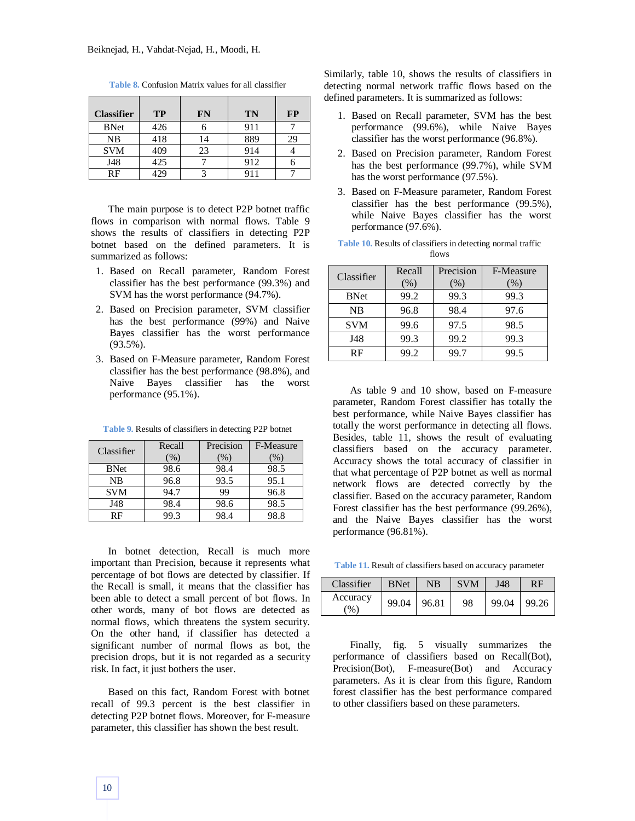| <b>Classifier</b> | <b>TP</b> | FN | <b>TN</b> | <b>FP</b> |
|-------------------|-----------|----|-----------|-----------|
| <b>BNet</b>       | 426       |    | 911       |           |
| NB                | 418       | 4  | 889       | 29        |
| <b>SVM</b>        | 409       | 23 | 914       |           |
| J48               | 425       |    | 912       |           |
| RF                |           |    |           |           |

**Table 8.** Confusion Matrix values for all classifier

The main purpose is to detect P2P botnet traffic flows in comparison with normal flows. Table 9 shows the results of classifiers in detecting P2P botnet based on the defined parameters. It is summarized as follows:

- 1. Based on Recall parameter, Random Forest classifier has the best performance (99.3%) and SVM has the worst performance (94.7%).
- 2. Based on Precision parameter, SVM classifier has the best performance (99%) and Naive Bayes classifier has the worst performance (93.5%).
- 3. Based on F-Measure parameter, Random Forest classifier has the best performance (98.8%), and Naive Bayes classifier has the worst performance (95.1%).

| Classifier  | Recall<br>(%) | Precision<br>(%) | F-Measure<br>$\frac{9}{6}$ |
|-------------|---------------|------------------|----------------------------|
| <b>BNet</b> | 98.6          | 98.4             | 98.5                       |
| NB          | 96.8          | 93.5             | 95.1                       |
| <b>SVM</b>  | 94.7          | 99               | 96.8                       |
| J48         | 98.4          | 98.6             | 98.5                       |
| RF          | 99.3          | 98.4             | 98.8                       |

**Table 9.** Results of classifiers in detecting P2P botnet

In botnet detection, Recall is much more important than Precision, because it represents what percentage of bot flows are detected by classifier. If the Recall is small, it means that the classifier has been able to detect a small percent of bot flows. In other words, many of bot flows are detected as normal flows, which threatens the system security. On the other hand, if classifier has detected a significant number of normal flows as bot, the precision drops, but it is not regarded as a security risk. In fact, it just bothers the user.

Based on this fact, Random Forest with botnet recall of 99.3 percent is the best classifier in detecting P2P botnet flows. Moreover, for F-measure parameter, this classifier has shown the best result.

Similarly, table 10, shows the results of classifiers in detecting normal network traffic flows based on the defined parameters. It is summarized as follows:

- 1. Based on Recall parameter, SVM has the best performance (99.6%), while Naive Bayes classifier has the worst performance (96.8%).
- 2. Based on Precision parameter, Random Forest has the best performance (99.7%), while SVM has the worst performance (97.5%).
- 3. Based on F-Measure parameter, Random Forest classifier has the best performance (99.5%), while Naive Bayes classifier has the worst performance (97.6%).

|  |       | <b>Table 10.</b> Results of classifiers in detecting normal traffic |  |
|--|-------|---------------------------------------------------------------------|--|
|  | flows |                                                                     |  |

| Classifier  | Recall<br>(% ) | Precision<br>$(\%)$ | F-Measure<br>(%) |
|-------------|----------------|---------------------|------------------|
| <b>BNet</b> | 99.2           | 99.3                | 99.3             |
| NB          | 96.8           | 98.4                | 97.6             |
| <b>SVM</b>  | 99.6           | 97.5                | 98.5             |
| <b>J48</b>  | 99.3           | 99.2                | 99.3             |
| RF          | 99.2           | 99.7                | 99.5             |

As table 9 and 10 show, based on F-measure parameter, Random Forest classifier has totally the best performance, while Naive Bayes classifier has totally the worst performance in detecting all flows. Besides, table 11, shows the result of evaluating classifiers based on the accuracy parameter. Accuracy shows the total accuracy of classifier in that what percentage of P2P botnet as well as normal network flows are detected correctly by the classifier. Based on the accuracy parameter, Random Forest classifier has the best performance (99.26%), and the Naive Bayes classifier has the worst performance (96.81%).

**Table 11.** Result of classifiers based on accuracy parameter

| Classifier                | <b>BNet</b> | <b>NB</b> | <b>SVM</b> | J48             | RF |
|---------------------------|-------------|-----------|------------|-----------------|----|
| Accuracy<br>$\frac{9}{6}$ | 99.04 96.81 |           | 98         | $99.04$   99.26 |    |

Finally, fig. 5 visually summarizes the performance of classifiers based on Recall(Bot), Precision(Bot), F-measure(Bot) and Accuracy parameters. As it is clear from this figure, Random forest classifier has the best performance compared to other classifiers based on these parameters.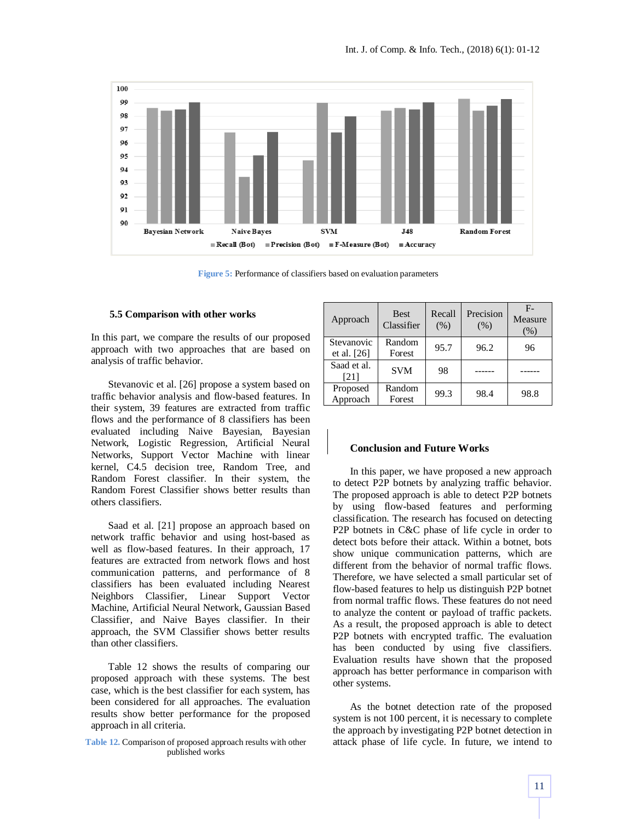

**Figure 5:** Performance of classifiers based on evaluation parameters

#### **5.5 Comparison with other works**

In this part, we compare the results of our proposed approach with two approaches that are based on analysis of traffic behavior.

Stevanovic et al. [26] propose a system based on traffic behavior analysis and flow-based features. In their system, 39 features are extracted from traffic flows and the performance of 8 classifiers has been evaluated including Naive Bayesian, Bayesian Network, Logistic Regression, Artificial Neural Networks, Support Vector Machine with linear kernel, C4.5 decision tree, Random Tree, and Random Forest classifier. In their system, the Random Forest Classifier shows better results than others classifiers.

Saad et al. [21] propose an approach based on network traffic behavior and using host-based as well as flow-based features. In their approach, 17 features are extracted from network flows and host communication patterns, and performance of 8 classifiers has been evaluated including Nearest Neighbors Classifier, Linear Support Vector Machine, Artificial Neural Network, Gaussian Based Classifier, and Naive Bayes classifier. In their approach, the SVM Classifier shows better results than other classifiers.

Table 12 shows the results of comparing our proposed approach with these systems. The best case, which is the best classifier for each system, has been considered for all approaches. The evaluation results show better performance for the proposed approach in all criteria.

**Table 12.** Comparison of proposed approach results with other published works

| Approach                    | <b>Best</b><br>Classifier | Recall<br>(% ) | Precision<br>(% ) | $F -$<br>Measure<br>$(\%)$ |
|-----------------------------|---------------------------|----------------|-------------------|----------------------------|
| Stevanovic<br>et al. $[26]$ | Random<br>Forest          | 95.7           | 96.2              | 96                         |
| Saad et al.                 |                           |                |                   |                            |
| [21]                        | <b>SVM</b>                | 98             |                   |                            |
| Proposed<br>Approach        | Random<br>Forest          | 99.3           | 98.4              | 98.8                       |
|                             |                           |                |                   |                            |

### **Conclusion and Future Works**

In this paper, we have proposed a new approach to detect P2P botnets by analyzing traffic behavior. The proposed approach is able to detect P2P botnets by using flow-based features and performing classification. The research has focused on detecting P2P botnets in C&C phase of life cycle in order to detect bots before their attack. Within a botnet, bots show unique communication patterns, which are different from the behavior of normal traffic flows. Therefore, we have selected a small particular set of flow-based features to help us distinguish P2P botnet from normal traffic flows. These features do not need to analyze the content or payload of traffic packets. As a result, the proposed approach is able to detect P2P botnets with encrypted traffic. The evaluation has been conducted by using five classifiers. Evaluation results have shown that the proposed approach has better performance in comparison with other systems.

As the botnet detection rate of the proposed system is not 100 percent, it is necessary to complete the approach by investigating P2P botnet detection in attack phase of life cycle. In future, we intend to